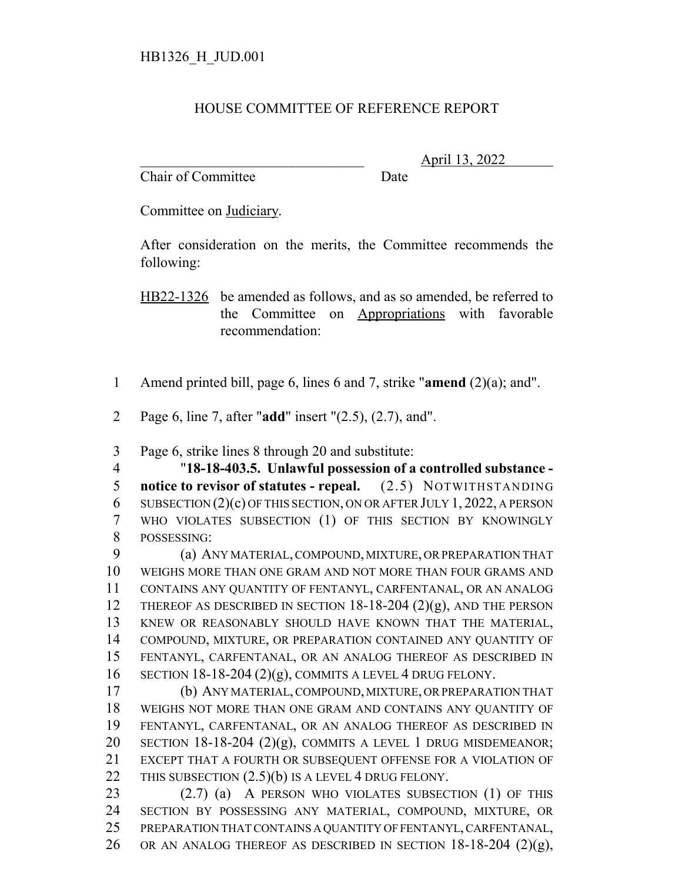## HOUSE COMMITTEE OF REFERENCE REPORT

Chair of Committee Date

\_\_\_\_\_\_\_\_\_\_\_\_\_\_\_\_\_\_\_\_\_\_\_\_\_\_\_\_\_\_\_ April 13, 2022

Committee on Judiciary.

After consideration on the merits, the Committee recommends the following:

HB22-1326 be amended as follows, and as so amended, be referred to the Committee on Appropriations with favorable recommendation:

- Amend printed bill, page 6, lines 6 and 7, strike "**amend** (2)(a); and".
- Page 6, line 7, after "**add**" insert "(2.5), (2.7), and".

Page 6, strike lines 8 through 20 and substitute:

 "**18-18-403.5. Unlawful possession of a controlled substance - notice to revisor of statutes - repeal.** (2.5) NOTWITHSTANDING SUBSECTION (2)(c) OF THIS SECTION, ON OR AFTER JULY 1, 2022, A PERSON WHO VIOLATES SUBSECTION (1) OF THIS SECTION BY KNOWINGLY POSSESSING:

 (a) ANY MATERIAL, COMPOUND, MIXTURE, OR PREPARATION THAT WEIGHS MORE THAN ONE GRAM AND NOT MORE THAN FOUR GRAMS AND CONTAINS ANY QUANTITY OF FENTANYL, CARFENTANAL, OR AN ANALOG 12 THEREOF AS DESCRIBED IN SECTION 18-18-204 (2)(g), AND THE PERSON KNEW OR REASONABLY SHOULD HAVE KNOWN THAT THE MATERIAL, COMPOUND, MIXTURE, OR PREPARATION CONTAINED ANY QUANTITY OF FENTANYL, CARFENTANAL, OR AN ANALOG THEREOF AS DESCRIBED IN SECTION 18-18-204 (2)(g), COMMITS A LEVEL 4 DRUG FELONY.

 (b) ANY MATERIAL, COMPOUND, MIXTURE, OR PREPARATION THAT WEIGHS NOT MORE THAN ONE GRAM AND CONTAINS ANY QUANTITY OF FENTANYL, CARFENTANAL, OR AN ANALOG THEREOF AS DESCRIBED IN 20 SECTION 18-18-204  $(2)(g)$ , COMMITS A LEVEL 1 DRUG MISDEMEANOR; EXCEPT THAT A FOURTH OR SUBSEQUENT OFFENSE FOR A VIOLATION OF 22 THIS SUBSECTION  $(2.5)(b)$  IS A LEVEL 4 DRUG FELONY.

 (2.7) (a) A PERSON WHO VIOLATES SUBSECTION (1) OF THIS SECTION BY POSSESSING ANY MATERIAL, COMPOUND, MIXTURE, OR PREPARATION THAT CONTAINS A QUANTITY OF FENTANYL, CARFENTANAL, 26 OR AN ANALOG THEREOF AS DESCRIBED IN SECTION  $18-18-204$  (2)(g),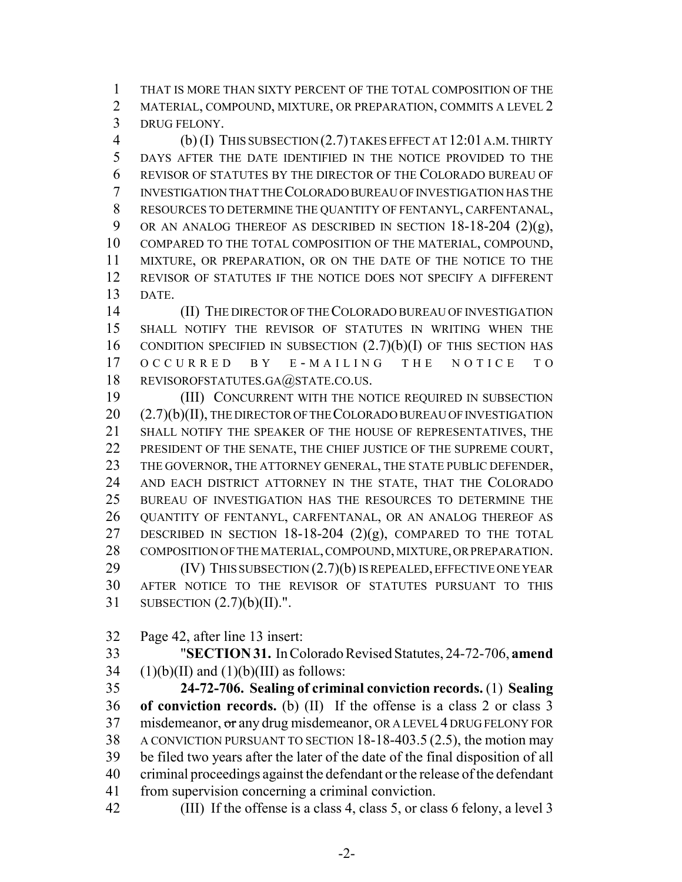THAT IS MORE THAN SIXTY PERCENT OF THE TOTAL COMPOSITION OF THE 2 MATERIAL, COMPOUND, MIXTURE, OR PREPARATION, COMMITS A LEVEL 2 DRUG FELONY.

 (b) (I) THIS SUBSECTION (2.7) TAKES EFFECT AT 12:01 A.M. THIRTY DAYS AFTER THE DATE IDENTIFIED IN THE NOTICE PROVIDED TO THE REVISOR OF STATUTES BY THE DIRECTOR OF THE COLORADO BUREAU OF INVESTIGATION THAT THE COLORADO BUREAU OF INVESTIGATION HAS THE RESOURCES TO DETERMINE THE QUANTITY OF FENTANYL, CARFENTANAL, 9 OR AN ANALOG THEREOF AS DESCRIBED IN SECTION 18-18-204 (2)(g), COMPARED TO THE TOTAL COMPOSITION OF THE MATERIAL, COMPOUND, MIXTURE, OR PREPARATION, OR ON THE DATE OF THE NOTICE TO THE REVISOR OF STATUTES IF THE NOTICE DOES NOT SPECIFY A DIFFERENT DATE.

 (II) THE DIRECTOR OF THE COLORADO BUREAU OF INVESTIGATION SHALL NOTIFY THE REVISOR OF STATUTES IN WRITING WHEN THE 16 CONDITION SPECIFIED IN SUBSECTION  $(2.7)(b)(I)$  OF THIS SECTION HAS OCCURRED BY E - MAILING THE NOTICE TO 18 REVISOROFSTATUTES.GA@STATE.CO.US.

 (III) CONCURRENT WITH THE NOTICE REQUIRED IN SUBSECTION 20 (2.7)(b)(II), THE DIRECTOR OF THE COLORADO BUREAU OF INVESTIGATION SHALL NOTIFY THE SPEAKER OF THE HOUSE OF REPRESENTATIVES, THE 22 PRESIDENT OF THE SENATE, THE CHIEF JUSTICE OF THE SUPREME COURT, 23 THE GOVERNOR, THE ATTORNEY GENERAL, THE STATE PUBLIC DEFENDER, AND EACH DISTRICT ATTORNEY IN THE STATE, THAT THE COLORADO BUREAU OF INVESTIGATION HAS THE RESOURCES TO DETERMINE THE QUANTITY OF FENTANYL, CARFENTANAL, OR AN ANALOG THEREOF AS 27 DESCRIBED IN SECTION  $18-18-204$  (2)(g), COMPARED TO THE TOTAL COMPOSITION OF THE MATERIAL, COMPOUND, MIXTURE, OR PREPARATION. **(IV)** THIS SUBSECTION  $(2.7)(b)$  IS REPEALED, EFFECTIVE ONE YEAR AFTER NOTICE TO THE REVISOR OF STATUTES PURSUANT TO THIS SUBSECTION (2.7)(b)(II).".

Page 42, after line 13 insert:

 "**SECTION 31.** In Colorado Revised Statutes, 24-72-706, **amend** 34 (1)(b)(II) and (1)(b)(III) as follows:

 **24-72-706. Sealing of criminal conviction records.** (1) **Sealing of conviction records.** (b) (II) If the offense is a class 2 or class 3 37 misdemeanor, or any drug misdemeanor, OR A LEVEL 4 DRUG FELONY FOR A CONVICTION PURSUANT TO SECTION 18-18-403.5 (2.5), the motion may be filed two years after the later of the date of the final disposition of all criminal proceedings against the defendant or the release of the defendant from supervision concerning a criminal conviction.

(III) If the offense is a class 4, class 5, or class 6 felony, a level 3